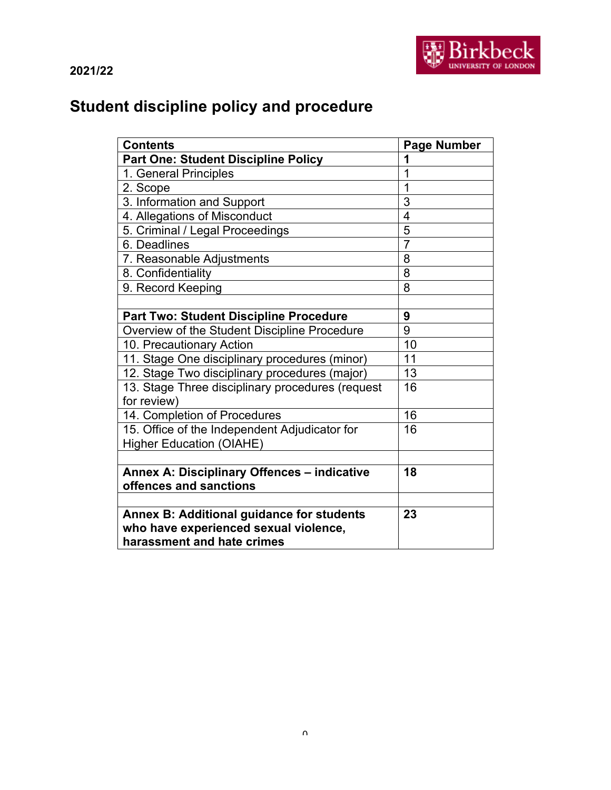

# **Student discipline policy and procedure**

| <b>Contents</b>                                  | <b>Page Number</b> |
|--------------------------------------------------|--------------------|
| <b>Part One: Student Discipline Policy</b>       | 1                  |
| 1. General Principles                            | 1                  |
| 2. Scope                                         | 1                  |
| 3. Information and Support                       | 3                  |
| 4. Allegations of Misconduct                     | $\overline{4}$     |
| 5. Criminal / Legal Proceedings                  | 5                  |
| 6. Deadlines                                     | $\overline{7}$     |
| 7. Reasonable Adjustments                        | 8                  |
| 8. Confidentiality                               | 8                  |
| 9. Record Keeping                                | 8                  |
|                                                  |                    |
| <b>Part Two: Student Discipline Procedure</b>    | 9                  |
| Overview of the Student Discipline Procedure     | 9                  |
| 10. Precautionary Action                         | 10                 |
| 11. Stage One disciplinary procedures (minor)    | 11                 |
| 12. Stage Two disciplinary procedures (major)    | 13                 |
| 13. Stage Three disciplinary procedures (request | 16                 |
| for review)                                      |                    |
| 14. Completion of Procedures                     | 16                 |
| 15. Office of the Independent Adjudicator for    | 16                 |
| <b>Higher Education (OIAHE)</b>                  |                    |
|                                                  |                    |
| Annex A: Disciplinary Offences - indicative      | 18                 |
| offences and sanctions                           |                    |
|                                                  |                    |
| <b>Annex B: Additional guidance for students</b> | 23                 |
| who have experienced sexual violence,            |                    |
| harassment and hate crimes                       |                    |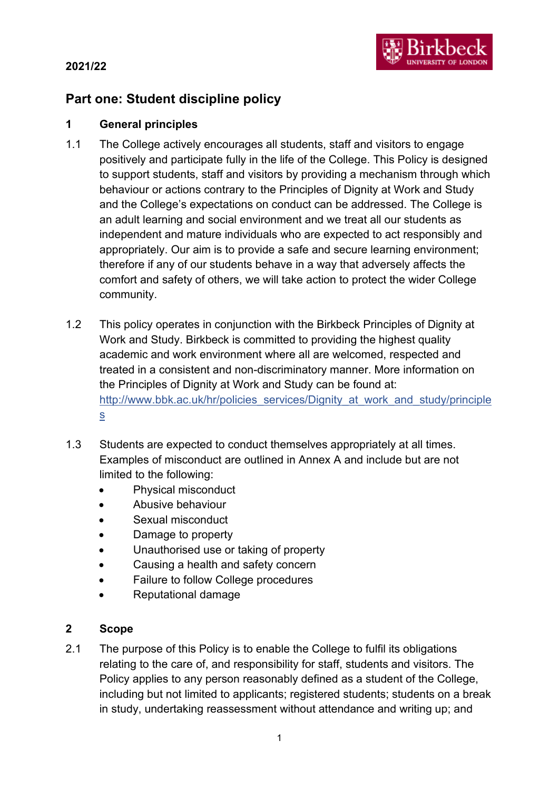## **2021/22**

## **Part one: Student discipline policy**

## **1 General principles**

- 1.1 The College actively encourages all students, staff and visitors to engage positively and participate fully in the life of the College. This Policy is designed to support students, staff and visitors by providing a mechanism through which behaviour or actions contrary to the Principles of Dignity at Work and Study and the College's expectations on conduct can be addressed. The College is an adult learning and social environment and we treat all our students as independent and mature individuals who are expected to act responsibly and appropriately. Our aim is to provide a safe and secure learning environment; therefore if any of our students behave in a way that adversely affects the comfort and safety of others, we will take action to protect the wider College community.
- 1.2 This policy operates in conjunction with the Birkbeck Principles of Dignity at Work and Study. Birkbeck is committed to providing the highest quality academic and work environment where all are welcomed, respected and treated in a consistent and non-discriminatory manner. More information on the Principles of Dignity at Work and Study can be found at: [http://www.bbk.ac.uk/hr/policies\\_services/Dignity\\_at\\_work\\_and\\_study/principle](http://www.bbk.ac.uk/hr/policies_services/Dignity_at_work_and_study/principles) [s](http://www.bbk.ac.uk/hr/policies_services/Dignity_at_work_and_study/principles)
- 1.3 Students are expected to conduct themselves appropriately at all times. Examples of misconduct are outlined in Annex A and include but are not limited to the following:
	- Physical misconduct
	- Abusive behaviour
	- Sexual misconduct
	- Damage to property
	- Unauthorised use or taking of property
	- Causing a health and safety concern
	- Failure to follow College procedures
	- Reputational damage

#### **2 Scope**

2.1 The purpose of this Policy is to enable the College to fulfil its obligations relating to the care of, and responsibility for staff, students and visitors. The Policy applies to any person reasonably defined as a student of the College, including but not limited to applicants; registered students; students on a break in study, undertaking reassessment without attendance and writing up; and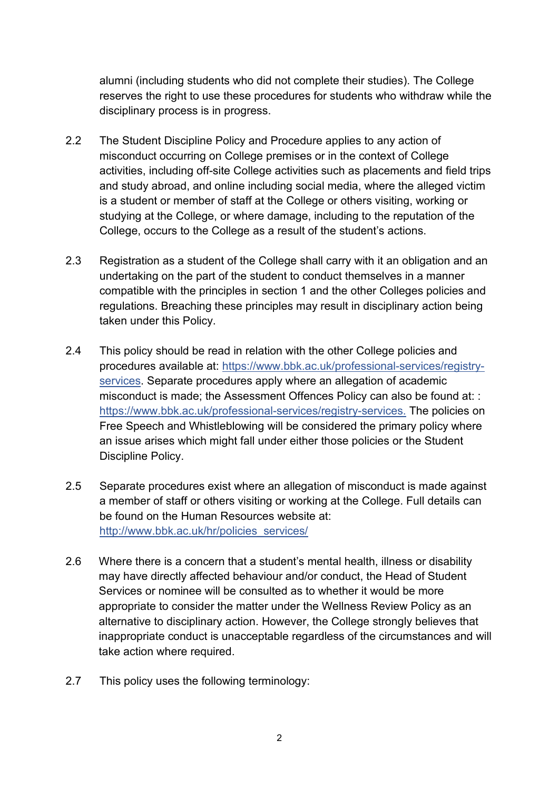alumni (including students who did not complete their studies). The College reserves the right to use these procedures for students who withdraw while the disciplinary process is in progress.

- 2.2 The Student Discipline Policy and Procedure applies to any action of misconduct occurring on College premises or in the context of College activities, including off-site College activities such as placements and field trips and study abroad, and online including social media, where the alleged victim is a student or member of staff at the College or others visiting, working or studying at the College, or where damage, including to the reputation of the College, occurs to the College as a result of the student's actions.
- 2.3 Registration as a student of the College shall carry with it an obligation and an undertaking on the part of the student to conduct themselves in a manner compatible with the principles in section 1 and the other Colleges policies and regulations. Breaching these principles may result in disciplinary action being taken under this Policy.
- 2.4 This policy should be read in relation with the other College policies and procedures available at: [https://www.bbk.ac.uk/professional-services/registry](https://www.bbk.ac.uk/professional-services/registry-services)[services.](https://www.bbk.ac.uk/professional-services/registry-services) Separate procedures apply where an allegation of academic misconduct is made; the Assessment Offences Policy can also be found at: : [https://www.bbk.ac.uk/professional-services/registry-services.](https://www.bbk.ac.uk/professional-services/registry-services) The policies on Free Speech and Whistleblowing will be considered the primary policy where an issue arises which might fall under either those policies or the Student Discipline Policy.
- 2.5 Separate procedures exist where an allegation of misconduct is made against a member of staff or others visiting or working at the College. Full details can be found on the Human Resources website at: http://www.bbk.ac.uk/hr/policies\_services/
- 2.6 Where there is a concern that a student's mental health, illness or disability may have directly affected behaviour and/or conduct, the Head of Student Services or nominee will be consulted as to whether it would be more appropriate to consider the matter under the Wellness Review Policy as an alternative to disciplinary action. However, the College strongly believes that inappropriate conduct is unacceptable regardless of the circumstances and will take action where required.
- 2.7 This policy uses the following terminology: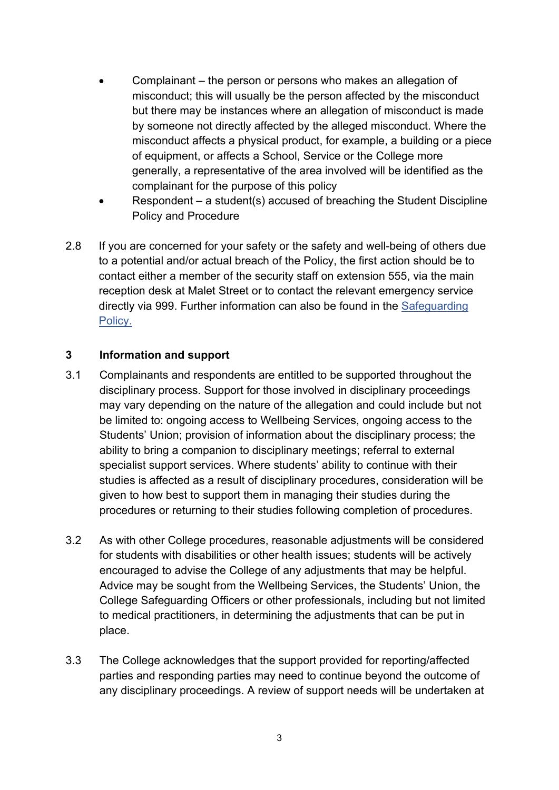- Complainant the person or persons who makes an allegation of misconduct; this will usually be the person affected by the misconduct but there may be instances where an allegation of misconduct is made by someone not directly affected by the alleged misconduct. Where the misconduct affects a physical product, for example, a building or a piece of equipment, or affects a School, Service or the College more generally, a representative of the area involved will be identified as the complainant for the purpose of this policy
- Respondent a student(s) accused of breaching the Student Discipline Policy and Procedure
- 2.8 If you are concerned for your safety or the safety and well-being of others due to a potential and/or actual breach of the Policy, the first action should be to contact either a member of the security staff on extension 555, via the main reception desk at Malet Street or to contact the relevant emergency service directly via 999. Further information can also be found in the Safeguarding Policy.

#### **3 Information and support**

- 3.1 Complainants and respondents are entitled to be supported throughout the disciplinary process. Support for those involved in disciplinary proceedings may vary depending on the nature of the allegation and could include but not be limited to: ongoing access to Wellbeing Services, ongoing access to the Students' Union; provision of information about the disciplinary process; the ability to bring a companion to disciplinary meetings; referral to external specialist support services. Where students' ability to continue with their studies is affected as a result of disciplinary procedures, consideration will be given to how best to support them in managing their studies during the procedures or returning to their studies following completion of procedures.
- 3.2 As with other College procedures, reasonable adjustments will be considered for students with disabilities or other health issues; students will be actively encouraged to advise the College of any adjustments that may be helpful. Advice may be sought from the Wellbeing Services, the Students' Union, the College Safeguarding Officers or other professionals, including but not limited to medical practitioners, in determining the adjustments that can be put in place.
- 3.3 The College acknowledges that the support provided for reporting/affected parties and responding parties may need to continue beyond the outcome of any disciplinary proceedings. A review of support needs will be undertaken at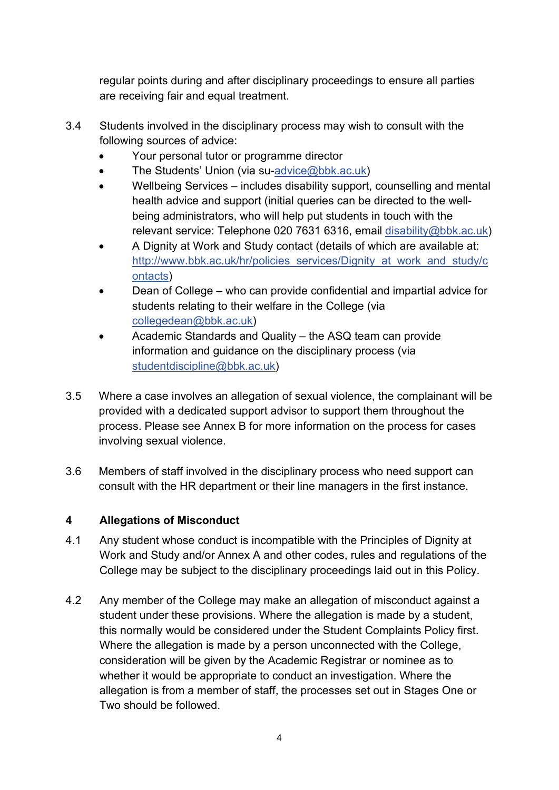regular points during and after disciplinary proceedings to ensure all parties are receiving fair and equal treatment.

- 3.4 Students involved in the disciplinary process may wish to consult with the following sources of advice:
	- Your personal tutor or programme director
	- The Students' Union (via su[-advice@bbk.ac.uk\)](mailto:advice@bbk.ac.uk)
	- Wellbeing Services includes disability support, counselling and mental health advice and support (initial queries can be directed to the wellbeing administrators, who will help put students in touch with the relevant service: Telephone 020 7631 6316, email [disability@bbk.ac.uk\)](mailto:disability@bbk.ac.uk)
	- A Dignity at Work and Study contact (details of which are available at: [http://www.bbk.ac.uk/hr/policies\\_services/Dignity\\_at\\_work\\_and\\_study/c](http://www.bbk.ac.uk/hr/policies_services/Dignity_at_work_and_study/contacts) [ontacts\)](http://www.bbk.ac.uk/hr/policies_services/Dignity_at_work_and_study/contacts)
	- Dean of College who can provide confidential and impartial advice for students relating to their welfare in the College (via [collegedean@bbk.ac.uk\)](mailto:collegedean@bbk.ac.uk)
	- Academic Standards and Quality the ASQ team can provide information and guidance on the disciplinary process (via [studentdiscipline@bbk.ac.uk\)](mailto:studentdiscipline@bbk.ac.uk)
- 3.5 Where a case involves an allegation of sexual violence, the complainant will be provided with a dedicated support advisor to support them throughout the process. Please see Annex B for more information on the process for cases involving sexual violence.
- 3.6 Members of staff involved in the disciplinary process who need support can consult with the HR department or their line managers in the first instance.

## **4 Allegations of Misconduct**

- 4.1 Any student whose conduct is incompatible with the Principles of Dignity at Work and Study and/or Annex A and other codes, rules and regulations of the College may be subject to the disciplinary proceedings laid out in this Policy.
- 4.2 Any member of the College may make an allegation of misconduct against a student under these provisions. Where the allegation is made by a student, this normally would be considered under the Student Complaints Policy first. Where the allegation is made by a person unconnected with the College, consideration will be given by the Academic Registrar or nominee as to whether it would be appropriate to conduct an investigation. Where the allegation is from a member of staff, the processes set out in Stages One or Two should be followed.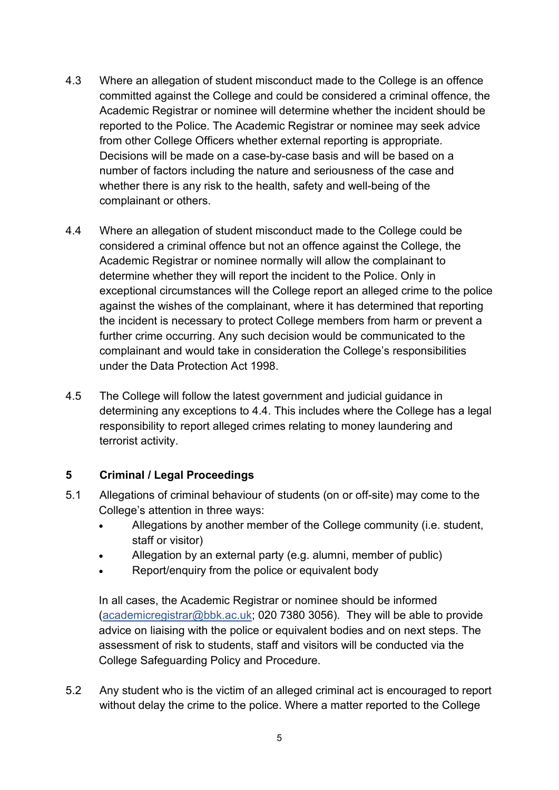- 4.3 Where an allegation of student misconduct made to the College is an offence committed against the College and could be considered a criminal offence, the Academic Registrar or nominee will determine whether the incident should be reported to the Police. The Academic Registrar or nominee may seek advice from other College Officers whether external reporting is appropriate. Decisions will be made on a case-by-case basis and will be based on a number of factors including the nature and seriousness of the case and whether there is any risk to the health, safety and well-being of the complainant or others.
- 4.4 Where an allegation of student misconduct made to the College could be considered a criminal offence but not an offence against the College, the Academic Registrar or nominee normally will allow the complainant to determine whether they will report the incident to the Police. Only in exceptional circumstances will the College report an alleged crime to the police against the wishes of the complainant, where it has determined that reporting the incident is necessary to protect College members from harm or prevent a further crime occurring. Any such decision would be communicated to the complainant and would take in consideration the College's responsibilities under the Data Protection Act 1998.
- 4.5 The College will follow the latest government and judicial guidance in determining any exceptions to 4.4. This includes where the College has a legal responsibility to report alleged crimes relating to money laundering and terrorist activity.

#### **5 Criminal / Legal Proceedings**

- 5.1 Allegations of criminal behaviour of students (on or off-site) may come to the College's attention in three ways:
	- Allegations by another member of the College community (i.e. student, staff or visitor)
	- Allegation by an external party (e.g. alumni, member of public)
	- Report/enquiry from the police or equivalent body

In all cases, the Academic Registrar or nominee should be informed [\(academicregistrar@bbk.ac.uk;](mailto:academicregistrar@bbk.ac.uk) 020 7380 3056). They will be able to provide advice on liaising with the police or equivalent bodies and on next steps. The assessment of risk to students, staff and visitors will be conducted via the College Safeguarding Policy and Procedure.

5.2 Any student who is the victim of an alleged criminal act is encouraged to report without delay the crime to the police. Where a matter reported to the College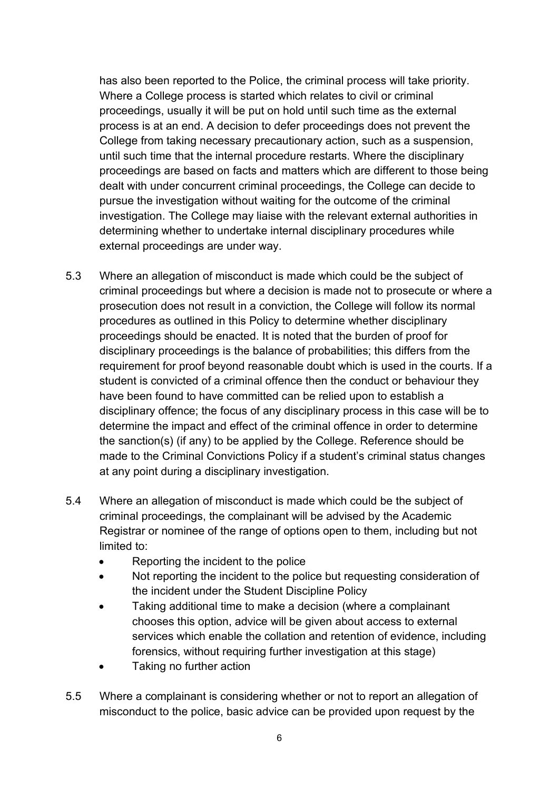has also been reported to the Police, the criminal process will take priority. Where a College process is started which relates to civil or criminal proceedings, usually it will be put on hold until such time as the external process is at an end. A decision to defer proceedings does not prevent the College from taking necessary precautionary action, such as a suspension, until such time that the internal procedure restarts. Where the disciplinary proceedings are based on facts and matters which are different to those being dealt with under concurrent criminal proceedings, the College can decide to pursue the investigation without waiting for the outcome of the criminal investigation. The College may liaise with the relevant external authorities in determining whether to undertake internal disciplinary procedures while external proceedings are under way.

- 5.3 Where an allegation of misconduct is made which could be the subject of criminal proceedings but where a decision is made not to prosecute or where a prosecution does not result in a conviction, the College will follow its normal procedures as outlined in this Policy to determine whether disciplinary proceedings should be enacted. It is noted that the burden of proof for disciplinary proceedings is the balance of probabilities; this differs from the requirement for proof beyond reasonable doubt which is used in the courts. If a student is convicted of a criminal offence then the conduct or behaviour they have been found to have committed can be relied upon to establish a disciplinary offence; the focus of any disciplinary process in this case will be to determine the impact and effect of the criminal offence in order to determine the sanction(s) (if any) to be applied by the College. Reference should be made to the Criminal Convictions Policy if a student's criminal status changes at any point during a disciplinary investigation.
- 5.4 Where an allegation of misconduct is made which could be the subject of criminal proceedings, the complainant will be advised by the Academic Registrar or nominee of the range of options open to them, including but not limited to:
	- Reporting the incident to the police
	- Not reporting the incident to the police but requesting consideration of the incident under the Student Discipline Policy
	- Taking additional time to make a decision (where a complainant chooses this option, advice will be given about access to external services which enable the collation and retention of evidence, including forensics, without requiring further investigation at this stage)
	- Taking no further action
- 5.5 Where a complainant is considering whether or not to report an allegation of misconduct to the police, basic advice can be provided upon request by the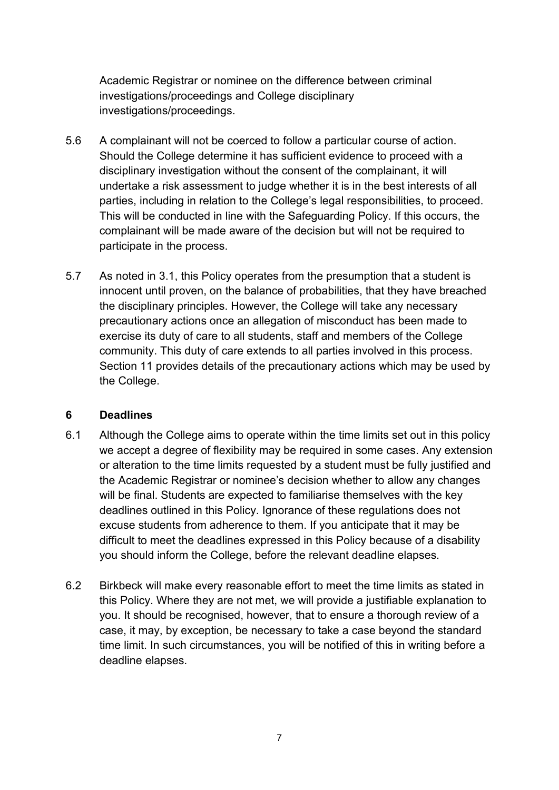Academic Registrar or nominee on the difference between criminal investigations/proceedings and College disciplinary investigations/proceedings.

- 5.6 A complainant will not be coerced to follow a particular course of action. Should the College determine it has sufficient evidence to proceed with a disciplinary investigation without the consent of the complainant, it will undertake a risk assessment to judge whether it is in the best interests of all parties, including in relation to the College's legal responsibilities, to proceed. This will be conducted in line with the Safeguarding Policy. If this occurs, the complainant will be made aware of the decision but will not be required to participate in the process.
- 5.7 As noted in 3.1, this Policy operates from the presumption that a student is innocent until proven, on the balance of probabilities, that they have breached the disciplinary principles. However, the College will take any necessary precautionary actions once an allegation of misconduct has been made to exercise its duty of care to all students, staff and members of the College community. This duty of care extends to all parties involved in this process. Section 11 provides details of the precautionary actions which may be used by the College.

#### **6 Deadlines**

- 6.1 Although the College aims to operate within the time limits set out in this policy we accept a degree of flexibility may be required in some cases. Any extension or alteration to the time limits requested by a student must be fully justified and the Academic Registrar or nominee's decision whether to allow any changes will be final. Students are expected to familiarise themselves with the key deadlines outlined in this Policy. Ignorance of these regulations does not excuse students from adherence to them. If you anticipate that it may be difficult to meet the deadlines expressed in this Policy because of a disability you should inform the College, before the relevant deadline elapses.
- 6.2 Birkbeck will make every reasonable effort to meet the time limits as stated in this Policy. Where they are not met, we will provide a justifiable explanation to you. It should be recognised, however, that to ensure a thorough review of a case, it may, by exception, be necessary to take a case beyond the standard time limit. In such circumstances, you will be notified of this in writing before a deadline elapses.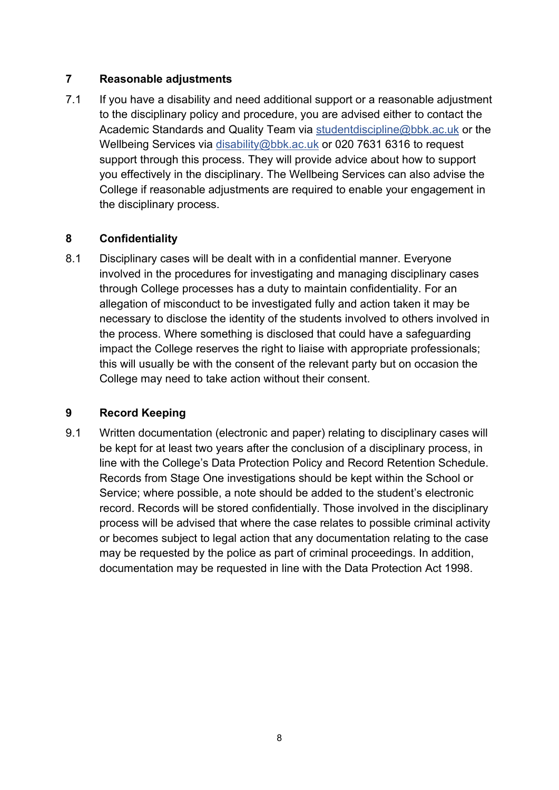## **7 Reasonable adjustments**

7.1 If you have a disability and need additional support or a reasonable adjustment to the disciplinary policy and procedure, you are advised either to contact the Academic Standards and Quality Team via [studentdiscipline@bbk.ac.uk](mailto:studentdiscipline@bbk.ac.uk) or the Wellbeing Services via [disability@bbk.ac.uk](mailto:disability@bbk.ac.uk) or 020 7631 6316 to request support through this process. They will provide advice about how to support you effectively in the disciplinary. The Wellbeing Services can also advise the College if reasonable adjustments are required to enable your engagement in the disciplinary process.

## **8 Confidentiality**

8.1 Disciplinary cases will be dealt with in a confidential manner. Everyone involved in the procedures for investigating and managing disciplinary cases through College processes has a duty to maintain confidentiality. For an allegation of misconduct to be investigated fully and action taken it may be necessary to disclose the identity of the students involved to others involved in the process. Where something is disclosed that could have a safeguarding impact the College reserves the right to liaise with appropriate professionals; this will usually be with the consent of the relevant party but on occasion the College may need to take action without their consent.

## **9 Record Keeping**

9.1 Written documentation (electronic and paper) relating to disciplinary cases will be kept for at least two years after the conclusion of a disciplinary process, in line with the College's Data Protection Policy and Record Retention Schedule. Records from Stage One investigations should be kept within the School or Service; where possible, a note should be added to the student's electronic record. Records will be stored confidentially. Those involved in the disciplinary process will be advised that where the case relates to possible criminal activity or becomes subject to legal action that any documentation relating to the case may be requested by the police as part of criminal proceedings. In addition, documentation may be requested in line with the Data Protection Act 1998.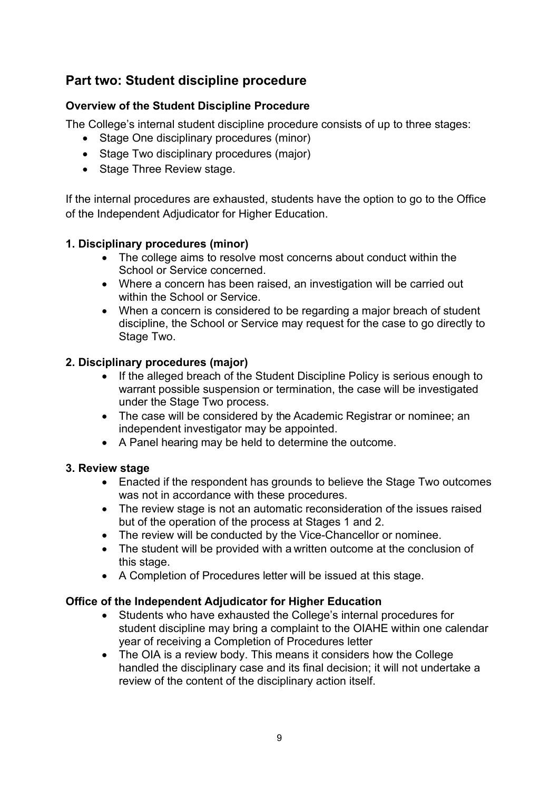## **Part two: Student discipline procedure**

## **Overview of the Student Discipline Procedure**

The College's internal student discipline procedure consists of up to three stages:

- Stage One disciplinary procedures (minor)
- Stage Two disciplinary procedures (major)
- Stage Three Review stage.

If the internal procedures are exhausted, students have the option to go to the Office of the Independent Adjudicator for Higher Education.

#### **1. Disciplinary procedures (minor)**

- The college aims to resolve most concerns about conduct within the School or Service concerned.
- Where a concern has been raised, an investigation will be carried out within the School or Service.
- When a concern is considered to be regarding a major breach of student discipline, the School or Service may request for the case to go directly to Stage Two.

#### **2. Disciplinary procedures (major)**

- If the alleged breach of the Student Discipline Policy is serious enough to warrant possible suspension or termination, the case will be investigated under the Stage Two process.
- The case will be considered by the Academic Registrar or nominee; an independent investigator may be appointed.
- A Panel hearing may be held to determine the outcome.

#### **3. Review stage**

- Enacted if the respondent has grounds to believe the Stage Two outcomes was not in accordance with these procedures.
- The review stage is not an automatic reconsideration of the issues raised but of the operation of the process at Stages 1 and 2.
- The review will be conducted by the Vice-Chancellor or nominee.
- The student will be provided with a written outcome at the conclusion of this stage.
- A Completion of Procedures letter will be issued at this stage.

#### **Office of the Independent Adjudicator for Higher Education**

- Students who have exhausted the College's internal procedures for student discipline may bring a complaint to the OIAHE within one calendar year of receiving a Completion of Procedures letter
- The OIA is a review body. This means it considers how the College handled the disciplinary case and its final decision; it will not undertake a review of the content of the disciplinary action itself.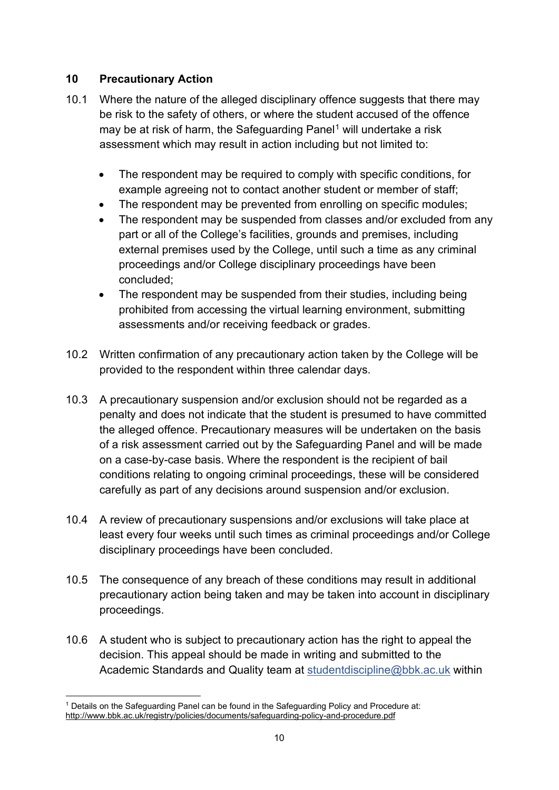## **10 Precautionary Action**

- 10.1 Where the nature of the alleged disciplinary offence suggests that there may be risk to the safety of others, or where the student accused of the offence may be at risk of harm, the Safeguarding Panel<sup>[1](#page-10-0)</sup> will undertake a risk assessment which may result in action including but not limited to:
	- The respondent may be required to comply with specific conditions, for example agreeing not to contact another student or member of staff;
	- The respondent may be prevented from enrolling on specific modules;
	- The respondent may be suspended from classes and/or excluded from any part or all of the College's facilities, grounds and premises, including external premises used by the College, until such a time as any criminal proceedings and/or College disciplinary proceedings have been concluded;
	- The respondent may be suspended from their studies, including being prohibited from accessing the virtual learning environment, submitting assessments and/or receiving feedback or grades.
- 10.2 Written confirmation of any precautionary action taken by the College will be provided to the respondent within three calendar days.
- 10.3 A precautionary suspension and/or exclusion should not be regarded as a penalty and does not indicate that the student is presumed to have committed the alleged offence. Precautionary measures will be undertaken on the basis of a risk assessment carried out by the Safeguarding Panel and will be made on a case-by-case basis. Where the respondent is the recipient of bail conditions relating to ongoing criminal proceedings, these will be considered carefully as part of any decisions around suspension and/or exclusion.
- 10.4 A review of precautionary suspensions and/or exclusions will take place at least every four weeks until such times as criminal proceedings and/or College disciplinary proceedings have been concluded.
- 10.5 The consequence of any breach of these conditions may result in additional precautionary action being taken and may be taken into account in disciplinary proceedings.
- 10.6 A student who is subject to precautionary action has the right to appeal the decision. This appeal should be made in writing and submitted to the Academic Standards and Quality team at [studentdiscipline@bbk.ac.uk](mailto:studentdiscipline@bbk.ac.uk) within

<span id="page-10-0"></span><sup>1</sup> Details on the Safeguarding Panel can be found in the Safeguarding Policy and Procedure at: <http://www.bbk.ac.uk/registry/policies/documents/safeguarding-policy-and-procedure.pdf>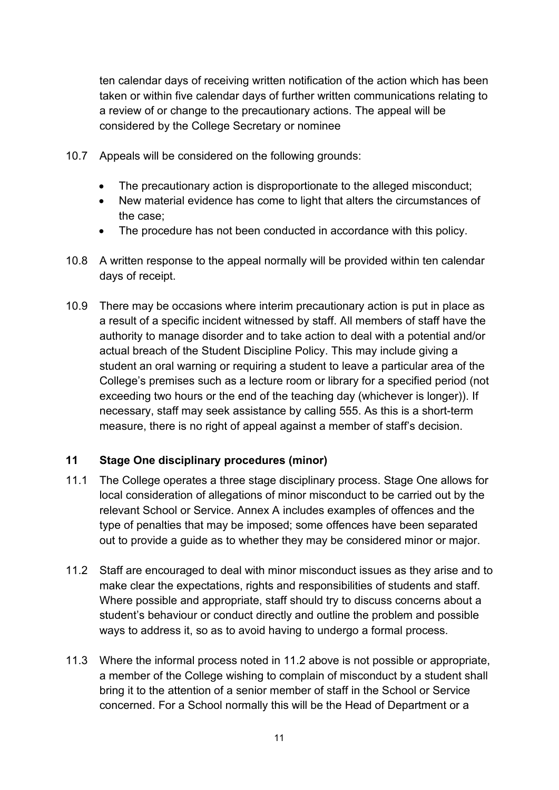ten calendar days of receiving written notification of the action which has been taken or within five calendar days of further written communications relating to a review of or change to the precautionary actions. The appeal will be considered by the College Secretary or nominee

- 10.7 Appeals will be considered on the following grounds:
	- The precautionary action is disproportionate to the alleged misconduct;
	- New material evidence has come to light that alters the circumstances of the case;
	- The procedure has not been conducted in accordance with this policy.
- 10.8 A written response to the appeal normally will be provided within ten calendar days of receipt.
- 10.9 There may be occasions where interim precautionary action is put in place as a result of a specific incident witnessed by staff. All members of staff have the authority to manage disorder and to take action to deal with a potential and/or actual breach of the Student Discipline Policy. This may include giving a student an oral warning or requiring a student to leave a particular area of the College's premises such as a lecture room or library for a specified period (not exceeding two hours or the end of the teaching day (whichever is longer)). If necessary, staff may seek assistance by calling 555. As this is a short-term measure, there is no right of appeal against a member of staff's decision.

#### **11 Stage One disciplinary procedures (minor)**

- 11.1 The College operates a three stage disciplinary process. Stage One allows for local consideration of allegations of minor misconduct to be carried out by the relevant School or Service. Annex A includes examples of offences and the type of penalties that may be imposed; some offences have been separated out to provide a guide as to whether they may be considered minor or major.
- 11.2 Staff are encouraged to deal with minor misconduct issues as they arise and to make clear the expectations, rights and responsibilities of students and staff. Where possible and appropriate, staff should try to discuss concerns about a student's behaviour or conduct directly and outline the problem and possible ways to address it, so as to avoid having to undergo a formal process.
- 11.3 Where the informal process noted in 11.2 above is not possible or appropriate, a member of the College wishing to complain of misconduct by a student shall bring it to the attention of a senior member of staff in the School or Service concerned. For a School normally this will be the Head of Department or a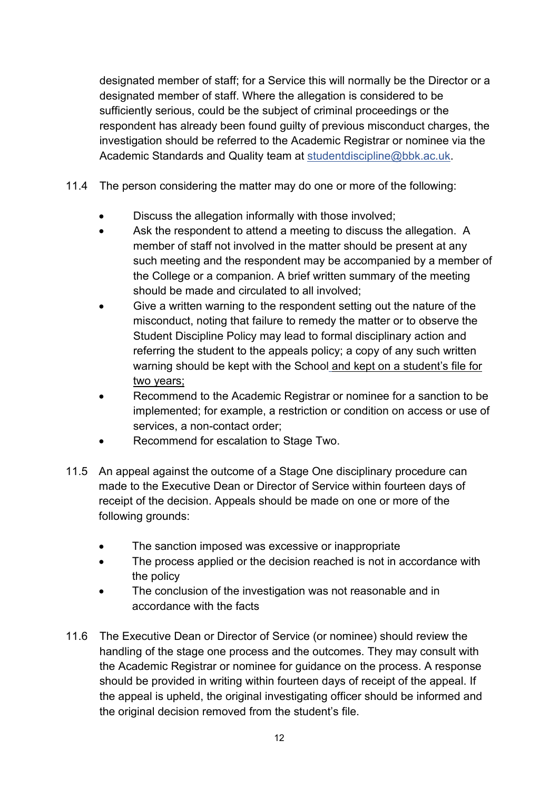designated member of staff; for a Service this will normally be the Director or a designated member of staff. Where the allegation is considered to be sufficiently serious, could be the subject of criminal proceedings or the respondent has already been found guilty of previous misconduct charges, the investigation should be referred to the Academic Registrar or nominee via the Academic Standards and Quality team at [studentdiscipline@bbk.ac.uk.](mailto:studentdiscipline@bbk.ac.uk)

- 11.4 The person considering the matter may do one or more of the following:
	- Discuss the allegation informally with those involved;
	- Ask the respondent to attend a meeting to discuss the allegation. A member of staff not involved in the matter should be present at any such meeting and the respondent may be accompanied by a member of the College or a companion. A brief written summary of the meeting should be made and circulated to all involved;
	- Give a written warning to the respondent setting out the nature of the misconduct, noting that failure to remedy the matter or to observe the Student Discipline Policy may lead to formal disciplinary action and referring the student to the appeals policy; a copy of any such written warning should be kept with the School and kept on a student's file for two years;
	- Recommend to the Academic Registrar or nominee for a sanction to be implemented; for example, a restriction or condition on access or use of services, a non-contact order;
	- Recommend for escalation to Stage Two.
- 11.5 An appeal against the outcome of a Stage One disciplinary procedure can made to the Executive Dean or Director of Service within fourteen days of receipt of the decision. Appeals should be made on one or more of the following grounds:
	- The sanction imposed was excessive or inappropriate
	- The process applied or the decision reached is not in accordance with the policy
	- The conclusion of the investigation was not reasonable and in accordance with the facts
- 11.6 The Executive Dean or Director of Service (or nominee) should review the handling of the stage one process and the outcomes. They may consult with the Academic Registrar or nominee for guidance on the process. A response should be provided in writing within fourteen days of receipt of the appeal. If the appeal is upheld, the original investigating officer should be informed and the original decision removed from the student's file.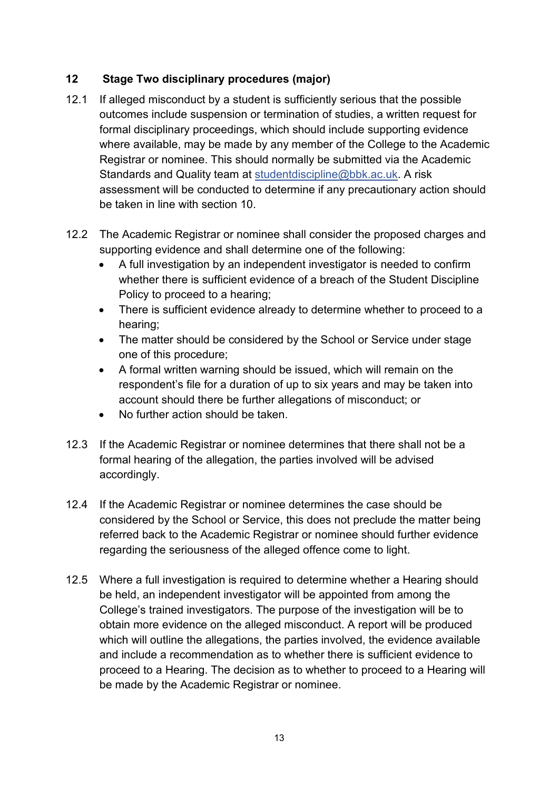## **12 Stage Two disciplinary procedures (major)**

- 12.1 If alleged misconduct by a student is sufficiently serious that the possible outcomes include suspension or termination of studies, a written request for formal disciplinary proceedings, which should include supporting evidence where available, may be made by any member of the College to the Academic Registrar or nominee. This should normally be submitted via the Academic Standards and Quality team at [studentdiscipline@bbk.ac.uk.](mailto:studentdiscipline@bbk.ac.uk) A risk assessment will be conducted to determine if any precautionary action should be taken in line with section 10.
- 12.2 The Academic Registrar or nominee shall consider the proposed charges and supporting evidence and shall determine one of the following:
	- A full investigation by an independent investigator is needed to confirm whether there is sufficient evidence of a breach of the Student Discipline Policy to proceed to a hearing;
	- There is sufficient evidence already to determine whether to proceed to a hearing;
	- The matter should be considered by the School or Service under stage one of this procedure;
	- A formal written warning should be issued, which will remain on the respondent's file for a duration of up to six years and may be taken into account should there be further allegations of misconduct; or
	- No further action should be taken.
- 12.3 If the Academic Registrar or nominee determines that there shall not be a formal hearing of the allegation, the parties involved will be advised accordingly.
- 12.4 If the Academic Registrar or nominee determines the case should be considered by the School or Service, this does not preclude the matter being referred back to the Academic Registrar or nominee should further evidence regarding the seriousness of the alleged offence come to light.
- 12.5 Where a full investigation is required to determine whether a Hearing should be held, an independent investigator will be appointed from among the College's trained investigators. The purpose of the investigation will be to obtain more evidence on the alleged misconduct. A report will be produced which will outline the allegations, the parties involved, the evidence available and include a recommendation as to whether there is sufficient evidence to proceed to a Hearing. The decision as to whether to proceed to a Hearing will be made by the Academic Registrar or nominee.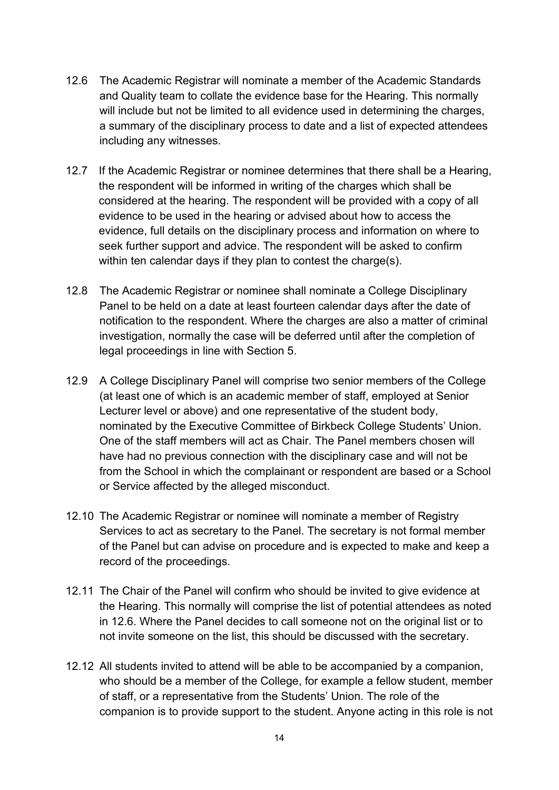- 12.6 The Academic Registrar will nominate a member of the Academic Standards and Quality team to collate the evidence base for the Hearing. This normally will include but not be limited to all evidence used in determining the charges, a summary of the disciplinary process to date and a list of expected attendees including any witnesses.
- 12.7 If the Academic Registrar or nominee determines that there shall be a Hearing, the respondent will be informed in writing of the charges which shall be considered at the hearing. The respondent will be provided with a copy of all evidence to be used in the hearing or advised about how to access the evidence, full details on the disciplinary process and information on where to seek further support and advice. The respondent will be asked to confirm within ten calendar days if they plan to contest the charge(s).
- 12.8 The Academic Registrar or nominee shall nominate a College Disciplinary Panel to be held on a date at least fourteen calendar days after the date of notification to the respondent. Where the charges are also a matter of criminal investigation, normally the case will be deferred until after the completion of legal proceedings in line with Section 5.
- 12.9 A College Disciplinary Panel will comprise two senior members of the College (at least one of which is an academic member of staff, employed at Senior Lecturer level or above) and one representative of the student body, nominated by the Executive Committee of Birkbeck College Students' Union. One of the staff members will act as Chair. The Panel members chosen will have had no previous connection with the disciplinary case and will not be from the School in which the complainant or respondent are based or a School or Service affected by the alleged misconduct.
- 12.10 The Academic Registrar or nominee will nominate a member of Registry Services to act as secretary to the Panel. The secretary is not formal member of the Panel but can advise on procedure and is expected to make and keep a record of the proceedings.
- 12.11 The Chair of the Panel will confirm who should be invited to give evidence at the Hearing. This normally will comprise the list of potential attendees as noted in 12.6. Where the Panel decides to call someone not on the original list or to not invite someone on the list, this should be discussed with the secretary.
- 12.12 All students invited to attend will be able to be accompanied by a companion, who should be a member of the College, for example a fellow student, member of staff, or a representative from the Students' Union. The role of the companion is to provide support to the student. Anyone acting in this role is not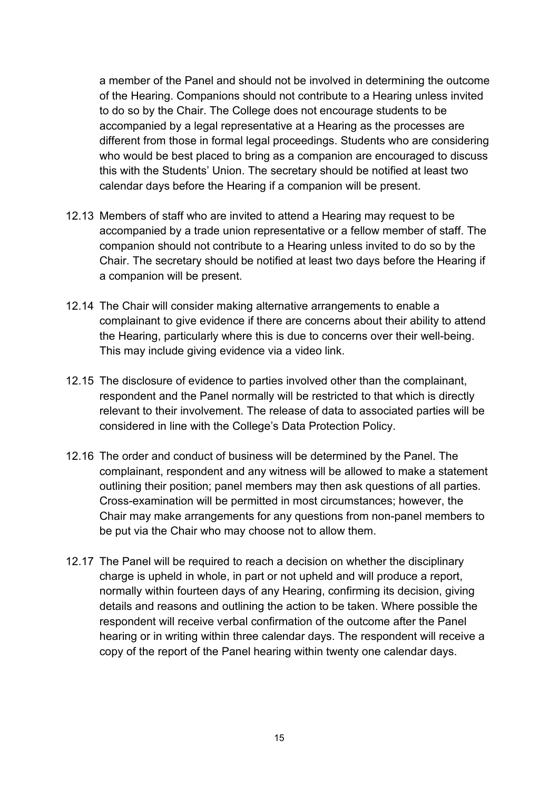a member of the Panel and should not be involved in determining the outcome of the Hearing. Companions should not contribute to a Hearing unless invited to do so by the Chair. The College does not encourage students to be accompanied by a legal representative at a Hearing as the processes are different from those in formal legal proceedings. Students who are considering who would be best placed to bring as a companion are encouraged to discuss this with the Students' Union. The secretary should be notified at least two calendar days before the Hearing if a companion will be present.

- 12.13 Members of staff who are invited to attend a Hearing may request to be accompanied by a trade union representative or a fellow member of staff. The companion should not contribute to a Hearing unless invited to do so by the Chair. The secretary should be notified at least two days before the Hearing if a companion will be present.
- 12.14 The Chair will consider making alternative arrangements to enable a complainant to give evidence if there are concerns about their ability to attend the Hearing, particularly where this is due to concerns over their well-being. This may include giving evidence via a video link.
- 12.15 The disclosure of evidence to parties involved other than the complainant, respondent and the Panel normally will be restricted to that which is directly relevant to their involvement. The release of data to associated parties will be considered in line with the College's Data Protection Policy.
- 12.16 The order and conduct of business will be determined by the Panel. The complainant, respondent and any witness will be allowed to make a statement outlining their position; panel members may then ask questions of all parties. Cross-examination will be permitted in most circumstances; however, the Chair may make arrangements for any questions from non-panel members to be put via the Chair who may choose not to allow them.
- 12.17 The Panel will be required to reach a decision on whether the disciplinary charge is upheld in whole, in part or not upheld and will produce a report, normally within fourteen days of any Hearing, confirming its decision, giving details and reasons and outlining the action to be taken. Where possible the respondent will receive verbal confirmation of the outcome after the Panel hearing or in writing within three calendar days. The respondent will receive a copy of the report of the Panel hearing within twenty one calendar days.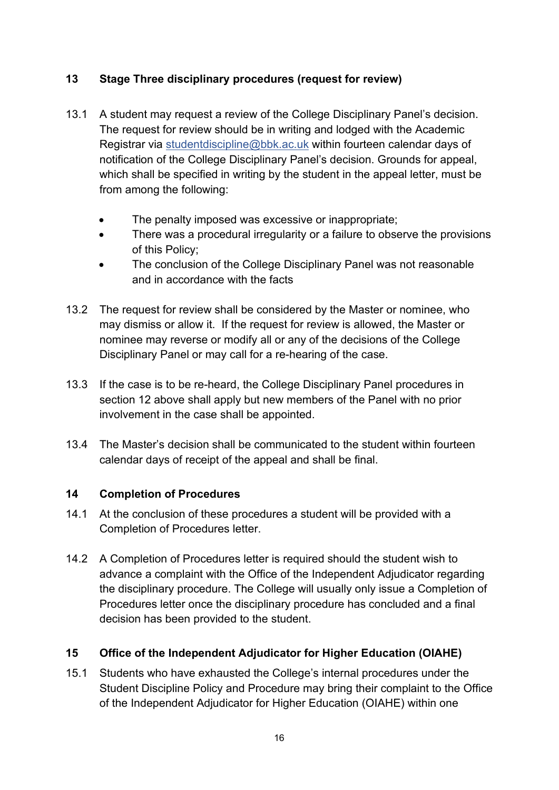## **13 Stage Three disciplinary procedures (request for review)**

- 13.1 A student may request a review of the College Disciplinary Panel's decision. The request for review should be in writing and lodged with the Academic Registrar via [studentdiscipline@bbk.ac.uk](mailto:studentdiscipline@bbk.ac.uk) within fourteen calendar days of notification of the College Disciplinary Panel's decision. Grounds for appeal, which shall be specified in writing by the student in the appeal letter, must be from among the following:
	- The penalty imposed was excessive or inappropriate;
	- There was a procedural irregularity or a failure to observe the provisions of this Policy;
	- The conclusion of the College Disciplinary Panel was not reasonable and in accordance with the facts
- 13.2 The request for review shall be considered by the Master or nominee, who may dismiss or allow it. If the request for review is allowed, the Master or nominee may reverse or modify all or any of the decisions of the College Disciplinary Panel or may call for a re-hearing of the case.
- 13.3 If the case is to be re-heard, the College Disciplinary Panel procedures in section 12 above shall apply but new members of the Panel with no prior involvement in the case shall be appointed.
- 13.4 The Master's decision shall be communicated to the student within fourteen calendar days of receipt of the appeal and shall be final.

#### **14 Completion of Procedures**

- 14.1 At the conclusion of these procedures a student will be provided with a Completion of Procedures letter.
- 14.2 A Completion of Procedures letter is required should the student wish to advance a complaint with the Office of the Independent Adjudicator regarding the disciplinary procedure. The College will usually only issue a Completion of Procedures letter once the disciplinary procedure has concluded and a final decision has been provided to the student.

#### **15 Office of the Independent Adjudicator for Higher Education (OIAHE)**

15.1 Students who have exhausted the College's internal procedures under the Student Discipline Policy and Procedure may bring their complaint to the Office of the Independent Adjudicator for Higher Education (OIAHE) within one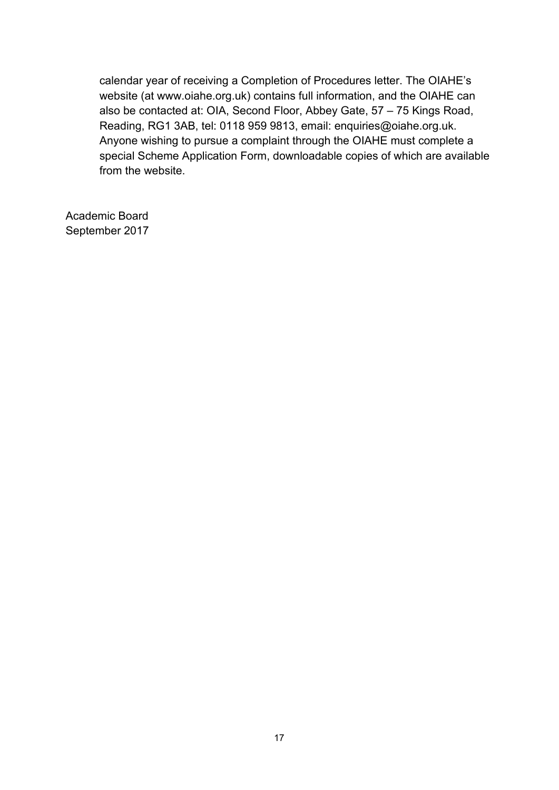calendar year of receiving a Completion of Procedures letter. The OIAHE's website (at www.oiahe.org.uk) contains full information, and the OIAHE can also be contacted at: OIA, Second Floor, Abbey Gate, 57 – 75 Kings Road, Reading, RG1 3AB, tel: 0118 959 9813, email: enquiries@oiahe.org.uk. Anyone wishing to pursue a complaint through the OIAHE must complete a special Scheme Application Form, downloadable copies of which are available from the website.

Academic Board September 2017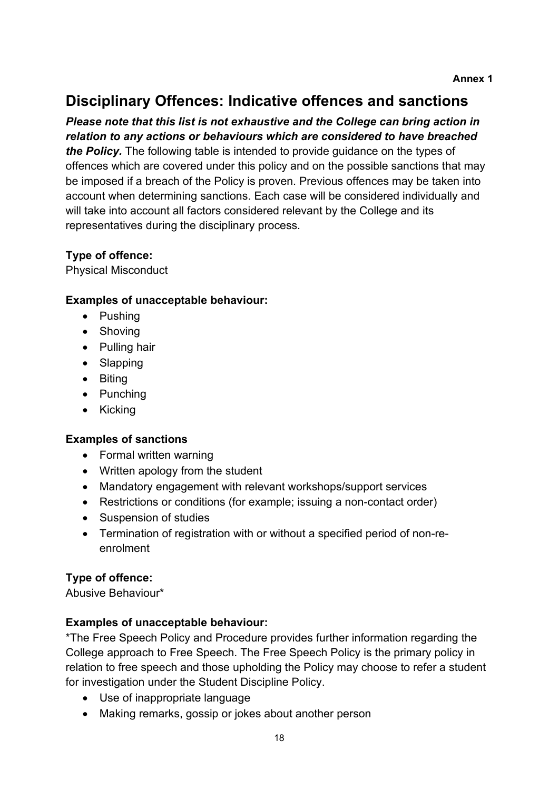## **Disciplinary Offences: Indicative offences and sanctions**

## *Please note that this list is not exhaustive and the College can bring action in relation to any actions or behaviours which are considered to have breached*

*the Policy.* The following table is intended to provide guidance on the types of offences which are covered under this policy and on the possible sanctions that may be imposed if a breach of the Policy is proven. Previous offences may be taken into account when determining sanctions. Each case will be considered individually and will take into account all factors considered relevant by the College and its representatives during the disciplinary process.

## **Type of offence:**

Physical Misconduct

#### **Examples of unacceptable behaviour:**

- Pushing
- Shoving
- Pulling hair
- Slapping
- Biting
- Punching
- Kicking

#### **Examples of sanctions**

- Formal written warning
- Written apology from the student
- Mandatory engagement with relevant workshops/support services
- Restrictions or conditions (for example: issuing a non-contact order)
- Suspension of studies
- Termination of registration with or without a specified period of non-reenrolment

#### **Type of offence:**

Abusive Behaviour\*

#### **Examples of unacceptable behaviour:**

\*The Free Speech Policy and Procedure provides further information regarding the College approach to Free Speech. The Free Speech Policy is the primary policy in relation to free speech and those upholding the Policy may choose to refer a student for investigation under the Student Discipline Policy.

- Use of inappropriate language
- Making remarks, gossip or jokes about another person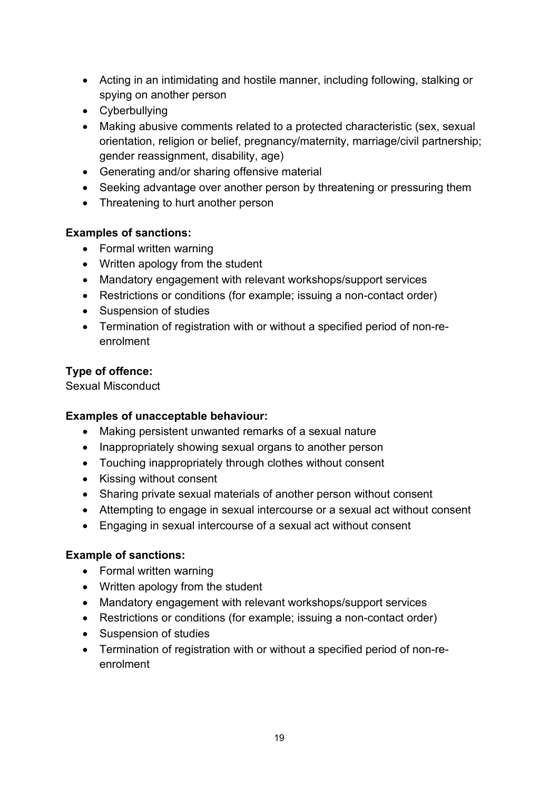- Acting in an intimidating and hostile manner, including following, stalking or spying on another person
- Cyberbullying
- Making abusive comments related to a protected characteristic (sex, sexual orientation, religion or belief, pregnancy/maternity, marriage/civil partnership; gender reassignment, disability, age)
- Generating and/or sharing offensive material
- Seeking advantage over another person by threatening or pressuring them
- Threatening to hurt another person

#### **Examples of sanctions:**

- Formal written warning
- Written apology from the student
- Mandatory engagement with relevant workshops/support services
- Restrictions or conditions (for example; issuing a non-contact order)
- Suspension of studies
- Termination of registration with or without a specified period of non-reenrolment

## **Type of offence:**

Sexual Misconduct

#### **Examples of unacceptable behaviour:**

- Making persistent unwanted remarks of a sexual nature
- Inappropriately showing sexual organs to another person
- Touching inappropriately through clothes without consent
- Kissing without consent
- Sharing private sexual materials of another person without consent
- Attempting to engage in sexual intercourse or a sexual act without consent
- Engaging in sexual intercourse of a sexual act without consent

#### **Example of sanctions:**

- Formal written warning
- Written apology from the student
- Mandatory engagement with relevant workshops/support services
- Restrictions or conditions (for example; issuing a non-contact order)
- Suspension of studies
- Termination of registration with or without a specified period of non-reenrolment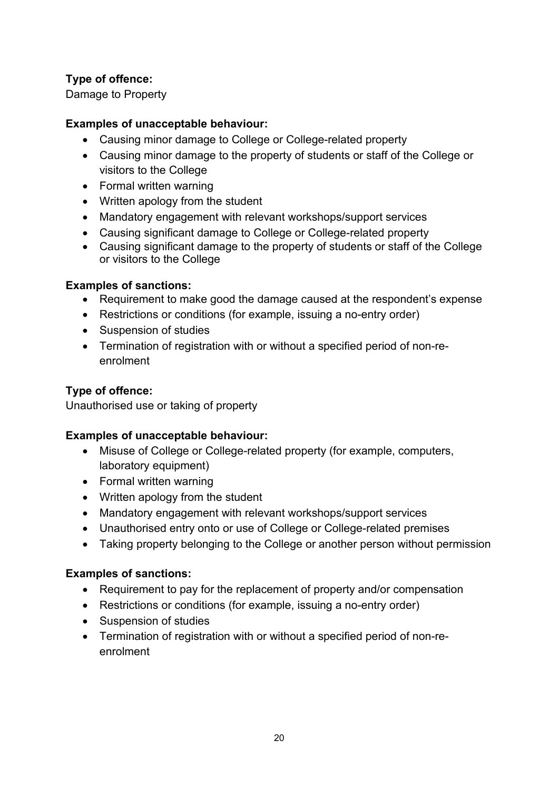## **Type of offence:**

Damage to Property

#### **Examples of unacceptable behaviour:**

- Causing minor damage to College or College-related property
- Causing minor damage to the property of students or staff of the College or visitors to the College
- Formal written warning
- Written apology from the student
- Mandatory engagement with relevant workshops/support services
- Causing significant damage to College or College-related property
- Causing significant damage to the property of students or staff of the College or visitors to the College

#### **Examples of sanctions:**

- Requirement to make good the damage caused at the respondent's expense
- Restrictions or conditions (for example, issuing a no-entry order)
- Suspension of studies
- Termination of registration with or without a specified period of non-reenrolment

## **Type of offence:**

Unauthorised use or taking of property

#### **Examples of unacceptable behaviour:**

- Misuse of College or College-related property (for example, computers, laboratory equipment)
- Formal written warning
- Written apology from the student
- Mandatory engagement with relevant workshops/support services
- Unauthorised entry onto or use of College or College-related premises
- Taking property belonging to the College or another person without permission

#### **Examples of sanctions:**

- Requirement to pay for the replacement of property and/or compensation
- Restrictions or conditions (for example, issuing a no-entry order)
- Suspension of studies
- Termination of registration with or without a specified period of non-reenrolment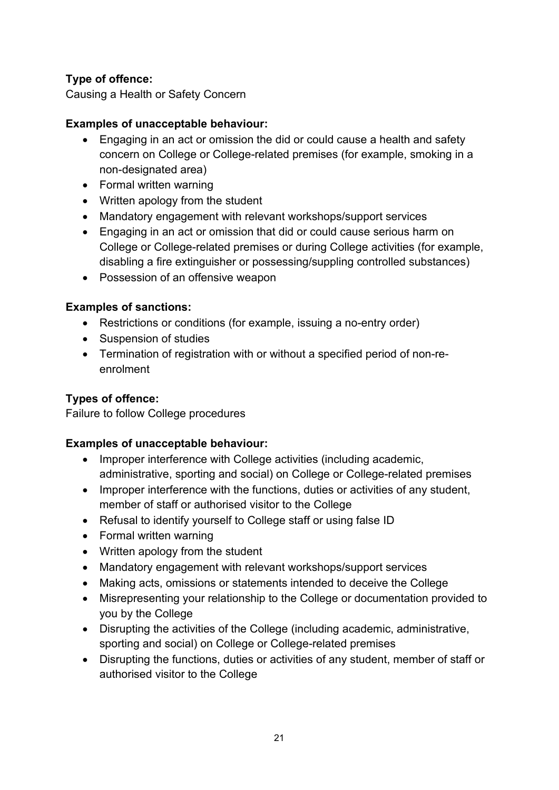## **Type of offence:**

Causing a Health or Safety Concern

#### **Examples of unacceptable behaviour:**

- Engaging in an act or omission the did or could cause a health and safety concern on College or College-related premises (for example, smoking in a non-designated area)
- Formal written warning
- Written apology from the student
- Mandatory engagement with relevant workshops/support services
- Engaging in an act or omission that did or could cause serious harm on College or College-related premises or during College activities (for example, disabling a fire extinguisher or possessing/suppling controlled substances)
- Possession of an offensive weapon

#### **Examples of sanctions:**

- Restrictions or conditions (for example, issuing a no-entry order)
- Suspension of studies
- Termination of registration with or without a specified period of non-reenrolment

#### **Types of offence:**

Failure to follow College procedures

#### **Examples of unacceptable behaviour:**

- Improper interference with College activities (including academic, administrative, sporting and social) on College or College-related premises
- Improper interference with the functions, duties or activities of any student, member of staff or authorised visitor to the College
- Refusal to identify yourself to College staff or using false ID
- Formal written warning
- Written apology from the student
- Mandatory engagement with relevant workshops/support services
- Making acts, omissions or statements intended to deceive the College
- Misrepresenting your relationship to the College or documentation provided to you by the College
- Disrupting the activities of the College (including academic, administrative, sporting and social) on College or College-related premises
- Disrupting the functions, duties or activities of any student, member of staff or authorised visitor to the College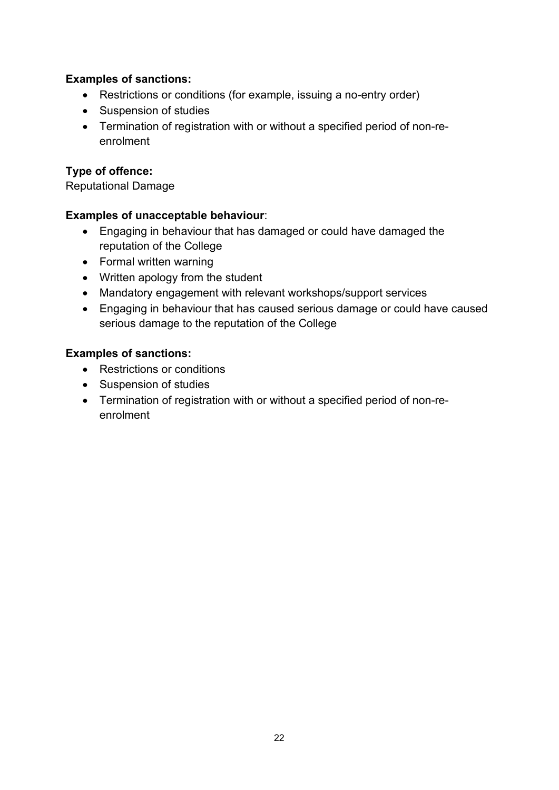### **Examples of sanctions:**

- Restrictions or conditions (for example, issuing a no-entry order)
- Suspension of studies
- Termination of registration with or without a specified period of non-reenrolment

## **Type of offence:**

Reputational Damage

#### **Examples of unacceptable behaviour**:

- Engaging in behaviour that has damaged or could have damaged the reputation of the College
- Formal written warning
- Written apology from the student
- Mandatory engagement with relevant workshops/support services
- Engaging in behaviour that has caused serious damage or could have caused serious damage to the reputation of the College

#### **Examples of sanctions:**

- Restrictions or conditions
- Suspension of studies
- Termination of registration with or without a specified period of non-reenrolment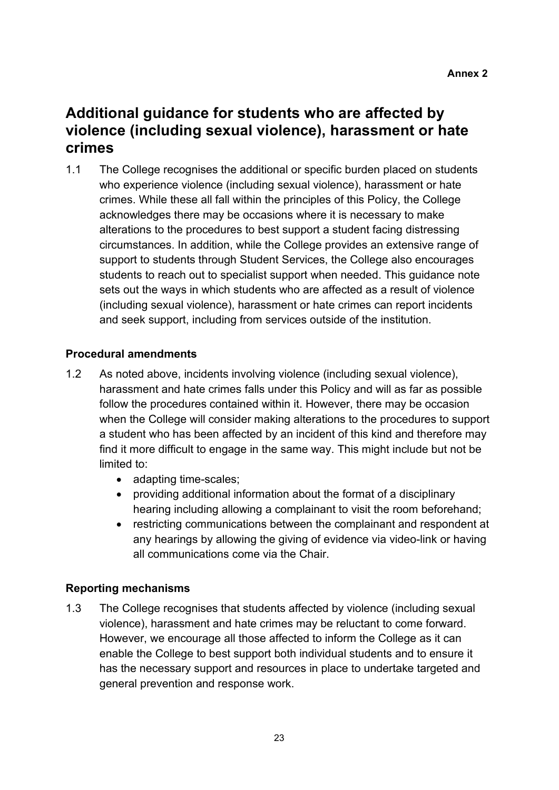## **Additional guidance for students who are affected by violence (including sexual violence), harassment or hate crimes**

1.1 The College recognises the additional or specific burden placed on students who experience violence (including sexual violence), harassment or hate crimes. While these all fall within the principles of this Policy, the College acknowledges there may be occasions where it is necessary to make alterations to the procedures to best support a student facing distressing circumstances. In addition, while the College provides an extensive range of support to students through Student Services, the College also encourages students to reach out to specialist support when needed. This guidance note sets out the ways in which students who are affected as a result of violence (including sexual violence), harassment or hate crimes can report incidents and seek support, including from services outside of the institution.

#### **Procedural amendments**

- 1.2 As noted above, incidents involving violence (including sexual violence), harassment and hate crimes falls under this Policy and will as far as possible follow the procedures contained within it. However, there may be occasion when the College will consider making alterations to the procedures to support a student who has been affected by an incident of this kind and therefore may find it more difficult to engage in the same way. This might include but not be limited to:
	- adapting time-scales;
	- providing additional information about the format of a disciplinary hearing including allowing a complainant to visit the room beforehand;
	- restricting communications between the complainant and respondent at any hearings by allowing the giving of evidence via video-link or having all communications come via the Chair.

## **Reporting mechanisms**

1.3 The College recognises that students affected by violence (including sexual violence), harassment and hate crimes may be reluctant to come forward. However, we encourage all those affected to inform the College as it can enable the College to best support both individual students and to ensure it has the necessary support and resources in place to undertake targeted and general prevention and response work.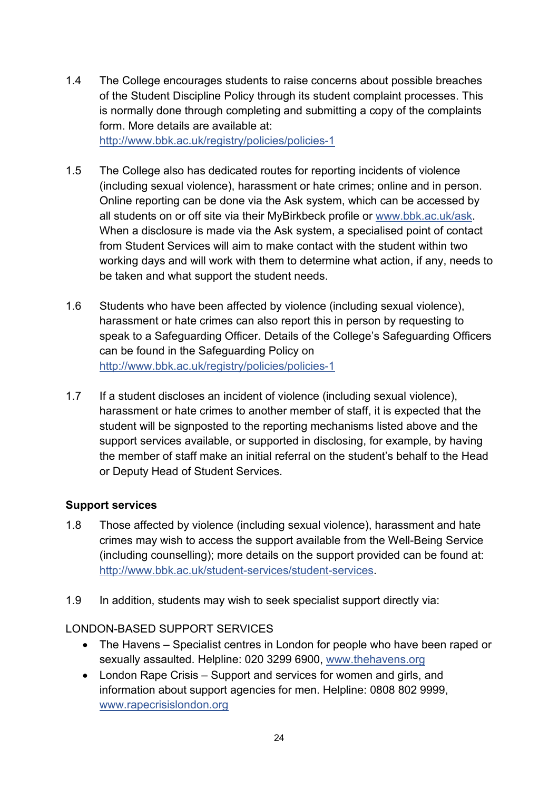- 1.4 The College encourages students to raise concerns about possible breaches of the Student Discipline Policy through its student complaint processes. This is normally done through completing and submitting a copy of the complaints form. More details are available at: <http://www.bbk.ac.uk/registry/policies/policies-1>
- 1.5 The College also has dedicated routes for reporting incidents of violence (including sexual violence), harassment or hate crimes; online and in person. Online reporting can be done via the Ask system, which can be accessed by all students on or off site via their MyBirkbeck profile or [www.bbk.ac.uk/ask.](http://www.bbk.ac.uk/ask) When a disclosure is made via the Ask system, a specialised point of contact from Student Services will aim to make contact with the student within two working days and will work with them to determine what action, if any, needs to be taken and what support the student needs.
- 1.6 Students who have been affected by violence (including sexual violence), harassment or hate crimes can also report this in person by requesting to speak to a Safeguarding Officer. Details of the College's Safeguarding Officers can be found in the Safeguarding Policy on <http://www.bbk.ac.uk/registry/policies/policies-1>
- 1.7 If a student discloses an incident of violence (including sexual violence), harassment or hate crimes to another member of staff, it is expected that the student will be signposted to the reporting mechanisms listed above and the support services available, or supported in disclosing, for example, by having the member of staff make an initial referral on the student's behalf to the Head or Deputy Head of Student Services.

#### **Support services**

- 1.8 Those affected by violence (including sexual violence), harassment and hate crimes may wish to access the support available from the Well-Being Service (including counselling); more details on the support provided can be found at: [http://www.bbk.ac.uk/student-services/student-services.](http://www.bbk.ac.uk/student-services/student-services)
- 1.9 In addition, students may wish to seek specialist support directly via:

#### LONDON-BASED SUPPORT SERVICES

- The Havens Specialist centres in London for people who have been raped or sexually assaulted. Helpline: 020 3299 6900, [www.thehavens.org](http://www.thehavens.org/)
- London Rape Crisis Support and services for women and girls, and information about support agencies for men. Helpline: 0808 802 9999, [www.rapecrisislondon.org](http://www.rapecrisislondon.org/)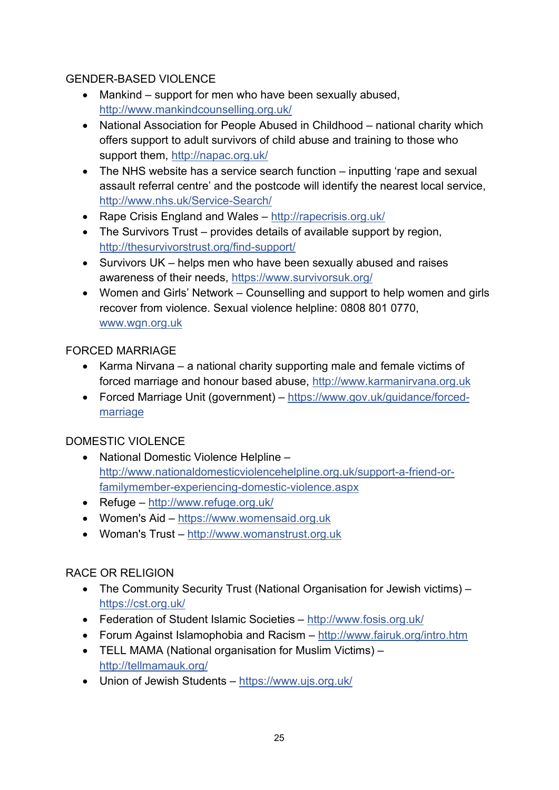## GENDER-BASED VIOLENCE

- Mankind support for men who have been sexually abused, <http://www.mankindcounselling.org.uk/>
- National Association for People Abused in Childhood national charity which offers support to adult survivors of child abuse and training to those who support them,<http://napac.org.uk/>
- The NHS website has a service search function inputting 'rape and sexual assault referral centre' and the postcode will identify the nearest local service, <http://www.nhs.uk/Service-Search/>
- Rape Crisis England and Wales <http://rapecrisis.org.uk/>
- The Survivors Trust provides details of available support by region, <http://thesurvivorstrust.org/find-support/>
- Survivors UK helps men who have been sexually abused and raises awareness of their needs,<https://www.survivorsuk.org/>
- Women and Girls' Network Counselling and support to help women and girls recover from violence. Sexual violence helpline: 0808 801 0770, [www.wgn.org.uk](http://www.wgn.org.uk/)

## FORCED MARRIAGE

- Karma Nirvana a national charity supporting male and female victims of forced marriage and honour based abuse, [http://www.karmanirvana.org.uk](http://www.karmanirvana.org.uk/)
- Forced Marriage Unit (government) [https://www.gov.uk/guidance/forced](https://www.gov.uk/guidance/forced-marriage)[marriage](https://www.gov.uk/guidance/forced-marriage)

## DOMESTIC VIOLENCE

- National Domestic Violence Helpline [http://www.nationaldomesticviolencehelpline.org.uk/support-a-friend-or](http://www.nationaldomesticviolencehelpline.org.uk/support-a-friend-or-familymember-experiencing-domestic-violence.aspx)[familymember-experiencing-domestic-violence.aspx](http://www.nationaldomesticviolencehelpline.org.uk/support-a-friend-or-familymember-experiencing-domestic-violence.aspx)
- Refuge <http://www.refuge.org.uk/>
- Women's Aid [https://www.womensaid.org.uk](https://www.womensaid.org.uk/)
- Woman's Trust [http://www.womanstrust.org.uk](http://www.womanstrust.org.uk/)

## RACE OR RELIGION

- The Community Security Trust (National Organisation for Jewish victims) <https://cst.org.uk/>
- Federation of Student Islamic Societies <http://www.fosis.org.uk/>
- Forum Against Islamophobia and Racism <http://www.fairuk.org/intro.htm>
- TELL MAMA (National organisation for Muslim Victims) <http://tellmamauk.org/>
- Union of Jewish Students <https://www.ujs.org.uk/>